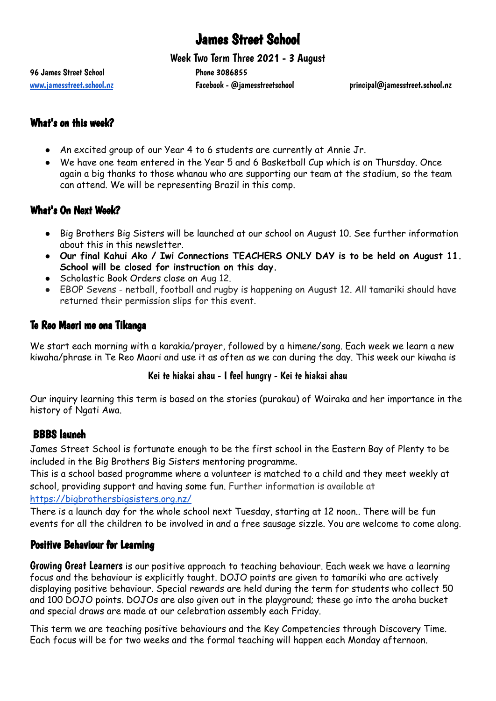# James Street School

Week Two Term Three 2021 - 3 August

96 James Street School Phone 3086855

[www.jamesstreet.school.nz](http://www.jamesstreet.school.nz) Facebook - @jamesstreetschool principal@jamesstreet.school.nz

# What's on this week?

- An excited group of our Year 4 to 6 students are currently at Annie Jr.
- We have one team entered in the Year 5 and 6 Basketball Cup which is on Thursday. Once again a big thanks to those whanau who are supporting our team at the stadium, so the team can attend. We will be representing Brazil in this comp.

# What's On Next Week?

- Big Brothers Big Sisters will be launched at our school on August 10. See further information about this in this newsletter.
- **Our final Kahui Ako / Iwi Connections TEACHERS ONLY DAY is to be held on August 11. School will be closed for instruction on this day.**
- Scholastic Book Orders close on Aug 12.
- EBOP Sevens netball, football and rugby is happening on August 12. All tamariki should have returned their permission slips for this event.

# Te Reo Maori me ona Tikanga

We start each morning with a karakia/prayer, followed by a himene/song. Each week we learn a new kiwaha/phrase in Te Reo Maori and use it as often as we can during the day. This week our kiwaha is

#### Kei te hiakai ahau - I feel hungry - Kei te hiakai ahau

Our inquiry learning this term is based on the stories (purakau) of Wairaka and her importance in the history of Ngati Awa.

#### BBBS launch

James Street School is fortunate enough to be the first school in the Eastern Bay of Plenty to be included in the Big Brothers Big Sisters mentoring programme.

This is a school based programme where a volunteer is matched to a child and they meet weekly at school, providing support and having some fun. Further information is available at <https://bigbrothersbigsisters.org.nz/>

There is a launch day for the whole school next Tuesday, starting at 12 noon.. There will be fun events for all the children to be involved in and a free sausage sizzle. You are welcome to come along.

#### Positive Behaviour for Learning

Growing Great Learners is our positive approach to teaching behaviour. Each week we have a learning focus and the behaviour is explicitly taught. DOJO points are given to tamariki who are actively displaying positive behaviour. Special rewards are held during the term for students who collect 50 and 100 DOJO points. DOJOs are also given out in the playground; these go into the aroha bucket and special draws are made at our celebration assembly each Friday.

This term we are teaching positive behaviours and the Key Competencies through Discovery Time. Each focus will be for two weeks and the formal teaching will happen each Monday afternoon.